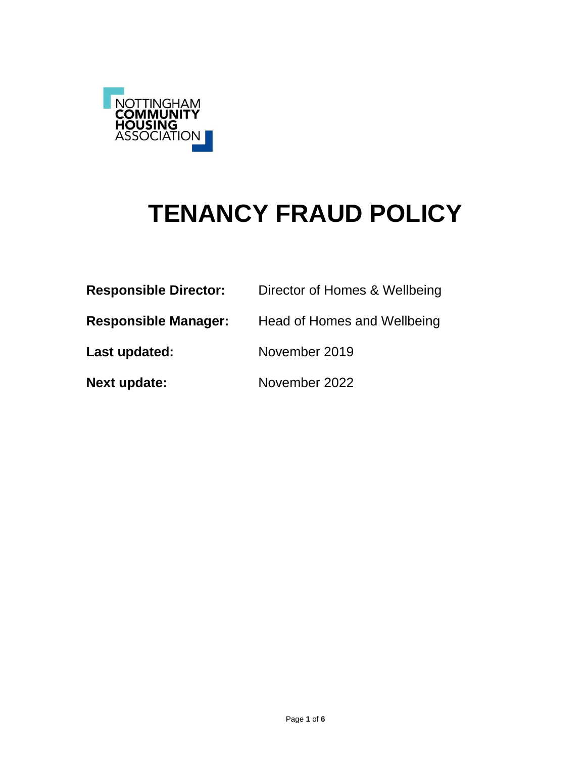

# **TENANCY FRAUD POLICY**

| <b>Responsible Director:</b> | Director of Homes & Wellbeing |
|------------------------------|-------------------------------|
| <b>Responsible Manager:</b>  | Head of Homes and Wellbeing   |
| Last updated:                | November 2019                 |
| <b>Next update:</b>          | November 2022                 |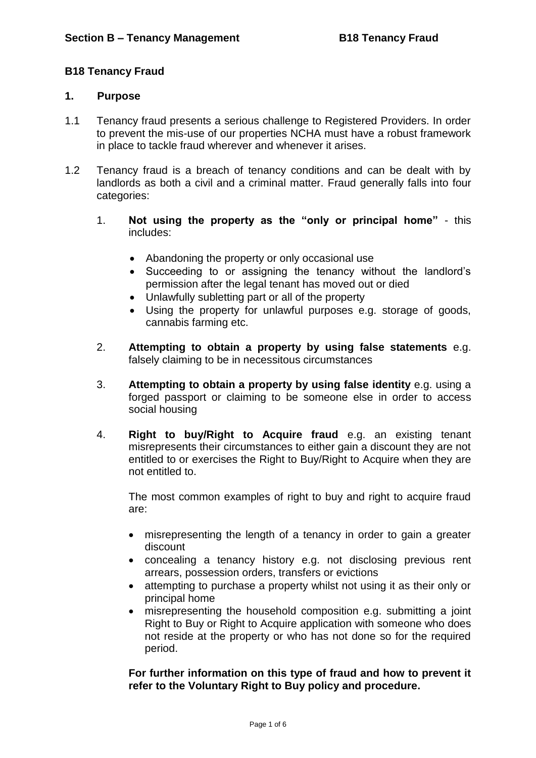## **B18 Tenancy Fraud**

#### **1. Purpose**

- 1.1 Tenancy fraud presents a serious challenge to Registered Providers. In order to prevent the mis-use of our properties NCHA must have a robust framework in place to tackle fraud wherever and whenever it arises.
- 1.2 Tenancy fraud is a breach of tenancy conditions and can be dealt with by landlords as both a civil and a criminal matter. Fraud generally falls into four categories:
	- 1. **Not using the property as the "only or principal home"** this includes:
		- Abandoning the property or only occasional use
		- Succeeding to or assigning the tenancy without the landlord's permission after the legal tenant has moved out or died
		- Unlawfully subletting part or all of the property
		- Using the property for unlawful purposes e.g. storage of goods, cannabis farming etc.
	- 2. **Attempting to obtain a property by using false statements** e.g. falsely claiming to be in necessitous circumstances
	- 3. **Attempting to obtain a property by using false identity** e.g. using a forged passport or claiming to be someone else in order to access social housing
	- 4. **Right to buy/Right to Acquire fraud** e.g. an existing tenant misrepresents their circumstances to either gain a discount they are not entitled to or exercises the Right to Buy/Right to Acquire when they are not entitled to.

The most common examples of right to buy and right to acquire fraud are:

- misrepresenting the length of a tenancy in order to gain a greater discount
- concealing a tenancy history e.g. not disclosing previous rent arrears, possession orders, transfers or evictions
- attempting to purchase a property whilst not using it as their only or principal home
- misrepresenting the household composition e.g. submitting a joint Right to Buy or Right to Acquire application with someone who does not reside at the property or who has not done so for the required period.

**For further information on this type of fraud and how to prevent it refer to the Voluntary Right to Buy policy and procedure.**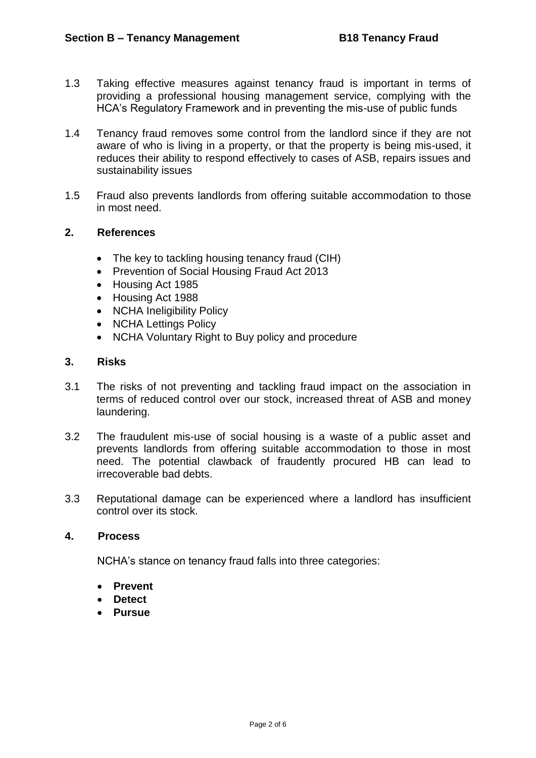- 1.3 Taking effective measures against tenancy fraud is important in terms of providing a professional housing management service, complying with the HCA's Regulatory Framework and in preventing the mis-use of public funds
- 1.4 Tenancy fraud removes some control from the landlord since if they are not aware of who is living in a property, or that the property is being mis-used, it reduces their ability to respond effectively to cases of ASB, repairs issues and sustainability issues
- 1.5 Fraud also prevents landlords from offering suitable accommodation to those in most need.

# **2. References**

- The key to tackling housing tenancy fraud (CIH)
- Prevention of Social Housing Fraud Act 2013
- Housing Act 1985
- Housing Act 1988
- NCHA Ineligibility Policy
- NCHA Lettings Policy
- NCHA Voluntary Right to Buy policy and procedure

## **3. Risks**

- 3.1 The risks of not preventing and tackling fraud impact on the association in terms of reduced control over our stock, increased threat of ASB and money laundering.
- 3.2 The fraudulent mis-use of social housing is a waste of a public asset and prevents landlords from offering suitable accommodation to those in most need. The potential clawback of fraudently procured HB can lead to irrecoverable bad debts.
- 3.3 Reputational damage can be experienced where a landlord has insufficient control over its stock.

#### **4. Process**

NCHA's stance on tenancy fraud falls into three categories:

- **Prevent**
- **Detect**
- **Pursue**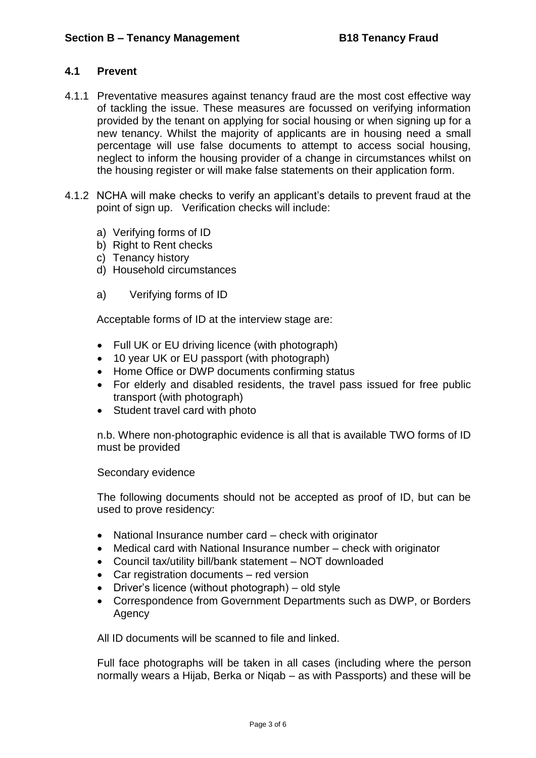## **4.1 Prevent**

- 4.1.1 Preventative measures against tenancy fraud are the most cost effective way of tackling the issue. These measures are focussed on verifying information provided by the tenant on applying for social housing or when signing up for a new tenancy. Whilst the majority of applicants are in housing need a small percentage will use false documents to attempt to access social housing, neglect to inform the housing provider of a change in circumstances whilst on the housing register or will make false statements on their application form.
- 4.1.2 NCHA will make checks to verify an applicant's details to prevent fraud at the point of sign up. Verification checks will include:
	- a) Verifying forms of ID
	- b) Right to Rent checks
	- c) Tenancy history
	- d) Household circumstances
	- a) Verifying forms of ID

Acceptable forms of ID at the interview stage are:

- Full UK or EU driving licence (with photograph)
- 10 year UK or EU passport (with photograph)
- Home Office or DWP documents confirming status
- For elderly and disabled residents, the travel pass issued for free public transport (with photograph)
- Student travel card with photo

n.b. Where non-photographic evidence is all that is available TWO forms of ID must be provided

#### Secondary evidence

The following documents should not be accepted as proof of ID, but can be used to prove residency:

- National Insurance number card check with originator
- Medical card with National Insurance number check with originator
- Council tax/utility bill/bank statement NOT downloaded
- Car registration documents red version
- Driver's licence (without photograph) old style
- Correspondence from Government Departments such as DWP, or Borders **Agency**

All ID documents will be scanned to file and linked.

Full face photographs will be taken in all cases (including where the person normally wears a Hijab, Berka or Niqab – as with Passports) and these will be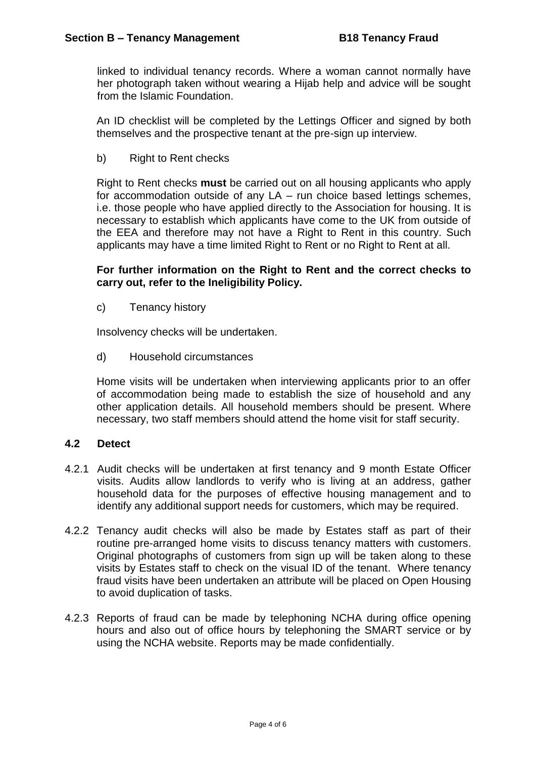linked to individual tenancy records. Where a woman cannot normally have her photograph taken without wearing a Hijab help and advice will be sought from the Islamic Foundation.

An ID checklist will be completed by the Lettings Officer and signed by both themselves and the prospective tenant at the pre-sign up interview.

b) Right to Rent checks

Right to Rent checks **must** be carried out on all housing applicants who apply for accommodation outside of any LA – run choice based lettings schemes, i.e. those people who have applied directly to the Association for housing. It is necessary to establish which applicants have come to the UK from outside of the EEA and therefore may not have a Right to Rent in this country. Such applicants may have a time limited Right to Rent or no Right to Rent at all.

## **For further information on the Right to Rent and the correct checks to carry out, refer to the Ineligibility Policy.**

c) Tenancy history

Insolvency checks will be undertaken.

d) Household circumstances

Home visits will be undertaken when interviewing applicants prior to an offer of accommodation being made to establish the size of household and any other application details. All household members should be present. Where necessary, two staff members should attend the home visit for staff security.

#### **4.2 Detect**

- 4.2.1 Audit checks will be undertaken at first tenancy and 9 month Estate Officer visits. Audits allow landlords to verify who is living at an address, gather household data for the purposes of effective housing management and to identify any additional support needs for customers, which may be required.
- 4.2.2 Tenancy audit checks will also be made by Estates staff as part of their routine pre-arranged home visits to discuss tenancy matters with customers. Original photographs of customers from sign up will be taken along to these visits by Estates staff to check on the visual ID of the tenant. Where tenancy fraud visits have been undertaken an attribute will be placed on Open Housing to avoid duplication of tasks.
- 4.2.3 Reports of fraud can be made by telephoning NCHA during office opening hours and also out of office hours by telephoning the SMART service or by using the NCHA website. Reports may be made confidentially.